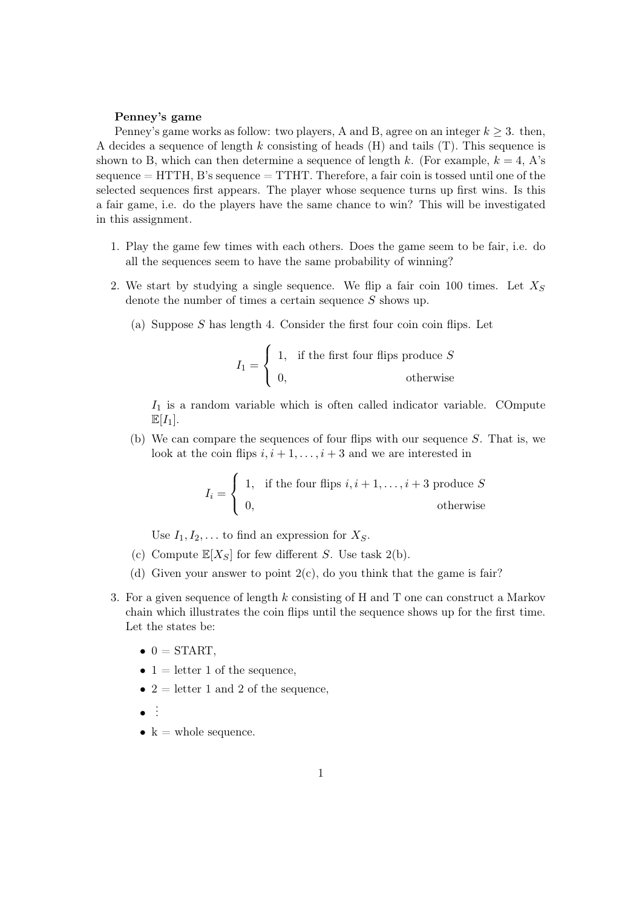## Penney's game

Penney's game works as follow: two players, A and B, agree on an integer  $k \geq 3$ . then, A decides a sequence of length k consisting of heads  $(H)$  and tails  $(T)$ . This sequence is shown to B, which can then determine a sequence of length k. (For example,  $k = 4$ , A's sequence  $=$  HTTH, B's sequence  $=$  TTHT. Therefore, a fair coin is tossed until one of the selected sequences first appears. The player whose sequence turns up first wins. Is this a fair game, i.e. do the players have the same chance to win? This will be investigated in this assignment.

- 1. Play the game few times with each others. Does the game seem to be fair, i.e. do all the sequences seem to have the same probability of winning?
- 2. We start by studying a single sequence. We flip a fair coin 100 times. Let  $X<sub>S</sub>$ denote the number of times a certain sequence S shows up.
	- (a) Suppose  $S$  has length 4. Consider the first four coin coin flips. Let

$$
I_1 = \begin{cases} 1, & \text{if the first four flips produce } S \\ 0, & \text{otherwise} \end{cases}
$$

 $I_1$  is a random variable which is often called indicator variable. COmpute  $\mathbb{E}[I_1].$ 

(b) We can compare the sequences of four flips with our sequence  $S$ . That is, we look at the coin flips  $i, i + 1, \ldots, i + 3$  and we are interested in

$$
I_i = \begin{cases} 1, & \text{if the four flips } i, i+1, \dots, i+3 \text{ produce } S \\ 0, & \text{otherwise} \end{cases}
$$

Use  $I_1, I_2, \ldots$  to find an expression for  $X_S$ .

- (c) Compute  $\mathbb{E}[X_S]$  for few different S. Use task 2(b).
- (d) Given your answer to point  $2(c)$ , do you think that the game is fair?
- 3. For a given sequence of length k consisting of H and T one can construct a Markov chain which illustrates the coin flips until the sequence shows up for the first time. Let the states be:
	- $\bullet$  0 = START,
	- $1 =$  letter 1 of the sequence,
	- $2 =$  letter 1 and 2 of the sequence,
	- $\bullet$  :
	- $k =$  whole sequence.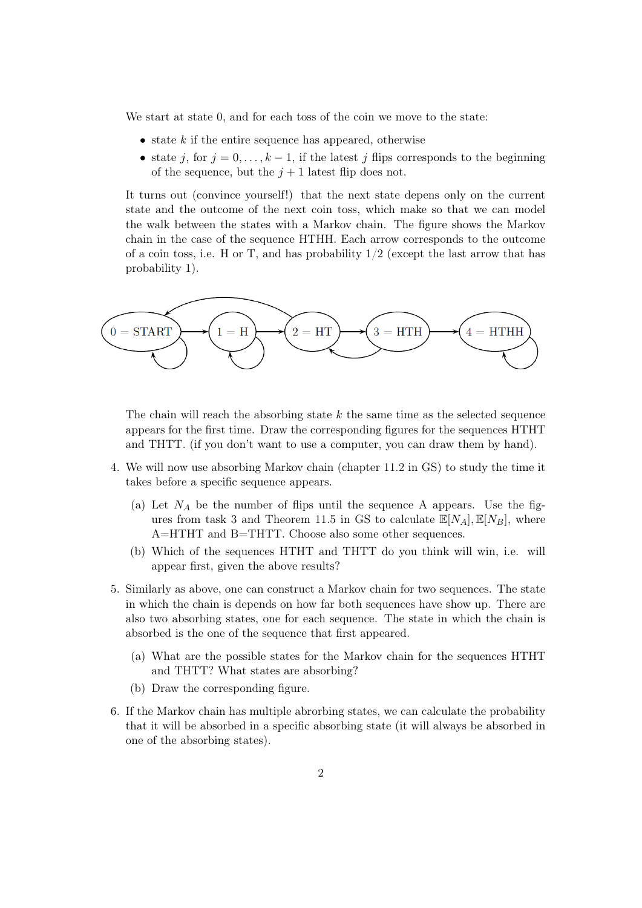We start at state 0, and for each toss of the coin we move to the state:

- state  $k$  if the entire sequence has appeared, otherwise
- state j, for  $j = 0, \ldots, k 1$ , if the latest j flips corresponds to the beginning of the sequence, but the  $j + 1$  latest flip does not.

It turns out (convince yourself!) that the next state depens only on the current state and the outcome of the next coin toss, which make so that we can model the walk between the states with a Markov chain. The figure shows the Markov chain in the case of the sequence HTHH. Each arrow corresponds to the outcome of a coin toss, i.e. H or T, and has probability  $1/2$  (except the last arrow that has probability 1).



The chain will reach the absorbing state  $k$  the same time as the selected sequence appears for the first time. Draw the corresponding figures for the sequences HTHT and THTT. (if you don't want to use a computer, you can draw them by hand).

- 4. We will now use absorbing Markov chain (chapter 11.2 in GS) to study the time it takes before a specific sequence appears.
	- (a) Let  $N_A$  be the number of flips until the sequence A appears. Use the figures from task 3 and Theorem 11.5 in GS to calculate  $\mathbb{E}[N_A], \mathbb{E}[N_B],$  where A=HTHT and B=THTT. Choose also some other sequences.
	- (b) Which of the sequences HTHT and THTT do you think will win, i.e. will appear first, given the above results?
- 5. Similarly as above, one can construct a Markov chain for two sequences. The state in which the chain is depends on how far both sequences have show up. There are also two absorbing states, one for each sequence. The state in which the chain is absorbed is the one of the sequence that first appeared.
	- (a) What are the possible states for the Markov chain for the sequences HTHT and THTT? What states are absorbing?
	- (b) Draw the corresponding figure.
- 6. If the Markov chain has multiple abrorbing states, we can calculate the probability that it will be absorbed in a specific absorbing state (it will always be absorbed in one of the absorbing states).